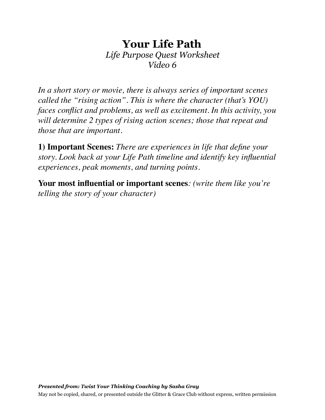# **Your Life Path**  *Life Purpose Quest Worksheet Video 6*

*In a short story or movie, there is always series of important scenes called the "rising action". This is where the character (that's YOU) faces conflict and problems, as well as excitement. In this activity, you will determine 2 types of rising action scenes; those that repeat and those that are important.* 

**1) Important Scenes:** *There are experiences in life that define your story. Look back at your Life Path timeline and identify key influential experiences, peak moments, and turning points.* 

**Your most influential or important scenes***: (write them like you're telling the story of your character)*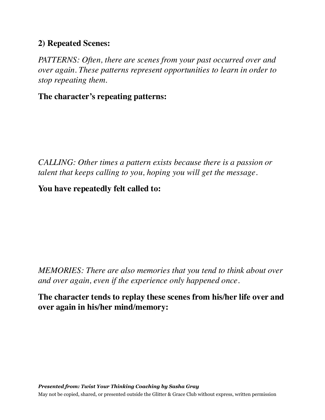## **2) Repeated Scenes:**

*PATTERNS: Often, there are scenes from your past occurred over and over again. These patterns represent opportunities to learn in order to stop repeating them.* 

#### **The character's repeating patterns:**

*CALLING: Other times a pattern exists because there is a passion or talent that keeps calling to you, hoping you will get the message.* 

## **You have repeatedly felt called to:**

*MEMORIES: There are also memories that you tend to think about over and over again, even if the experience only happened once.* 

## **The character tends to replay these scenes from his/her life over and over again in his/her mind/memory:**